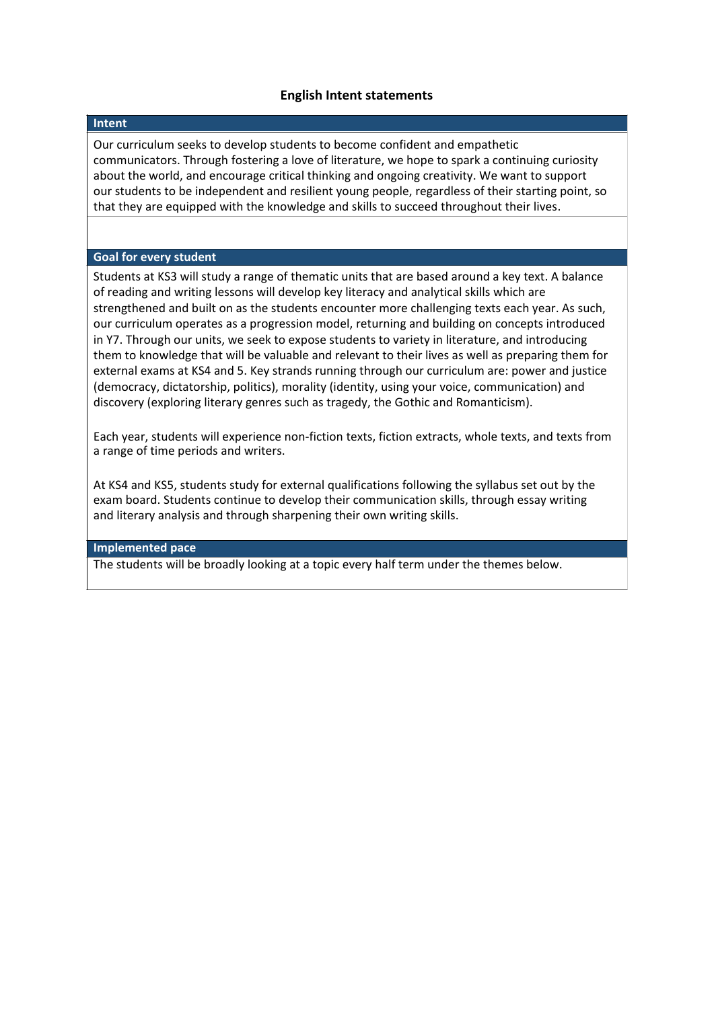# **English Intent statements**

#### **Intent**

Our curriculum seeks to develop students to become confident and empathetic communicators. Through fostering a love of literature, we hope to spark a continuing curiosity about the world, and encourage critical thinking and ongoing creativity. We want to support our students to be independent and resilient young people, regardless of their starting point, so that they are equipped with the knowledge and skills to succeed throughout their lives.

### **Goal for every student**

Students at KS3 will study a range of thematic units that are based around a key text. A balance of reading and writing lessons will develop key literacy and analytical skills which are strengthened and built on as the students encounter more challenging texts each year. As such, our curriculum operates as a progression model, returning and building on concepts introduced in Y7. Through our units, we seek to expose students to variety in literature, and introducing them to knowledge that will be valuable and relevant to their lives as well as preparing them for external exams at KS4 and 5. Key strands running through our curriculum are: power and justice (democracy, dictatorship, politics), morality (identity, using your voice, communication) and discovery (exploring literary genres such as tragedy, the Gothic and Romanticism).

Each year, students will experience non-fiction texts, fiction extracts, whole texts, and texts from a range of time periods and writers.

At KS4 and KS5, students study for external qualifications following the syllabus set out by the exam board. Students continue to develop their communication skills, through essay writing and literary analysis and through sharpening their own writing skills.

### **Implemented pace**

The students will be broadly looking at a topic every half term under the themes below.